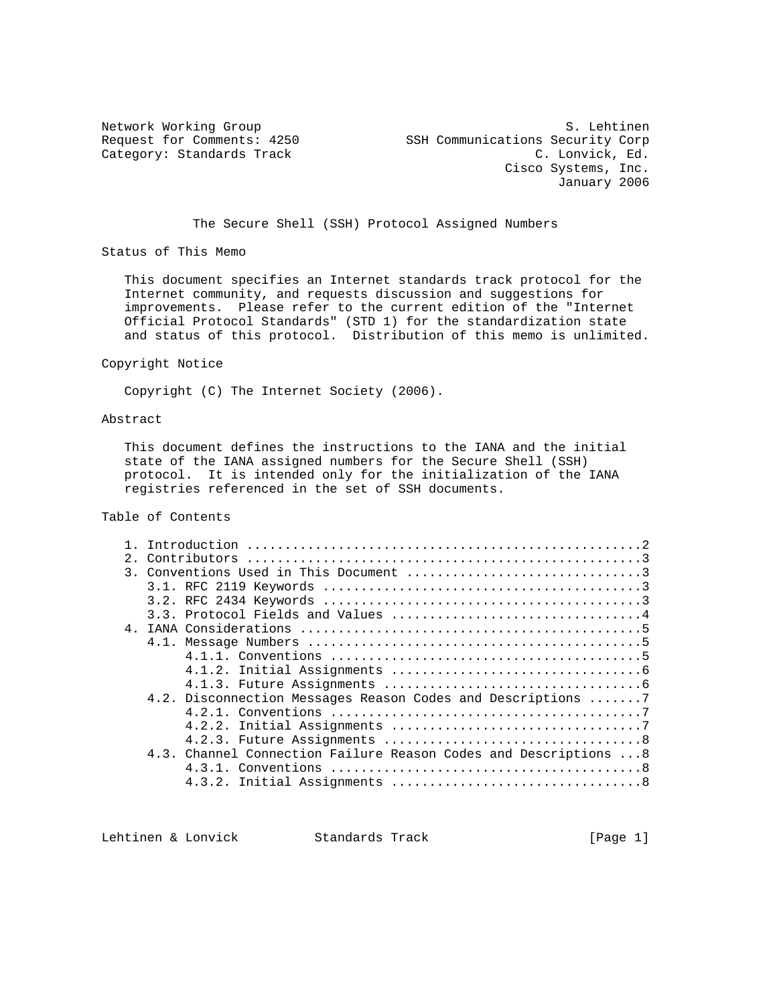Network Working Group States of the Section of the Section of States of States of States and States of States Request for Comments: 4250 SSH Communications Security Corp Category: Standards Track C. Lonvick, Ed. Cisco Systems, Inc. January 2006

The Secure Shell (SSH) Protocol Assigned Numbers

Status of This Memo

 This document specifies an Internet standards track protocol for the Internet community, and requests discussion and suggestions for improvements. Please refer to the current edition of the "Internet Official Protocol Standards" (STD 1) for the standardization state and status of this protocol. Distribution of this memo is unlimited.

#### Copyright Notice

Copyright (C) The Internet Society (2006).

### Abstract

 This document defines the instructions to the IANA and the initial state of the IANA assigned numbers for the Secure Shell (SSH) protocol. It is intended only for the initialization of the IANA registries referenced in the set of SSH documents.

# Table of Contents

| 2.1 |                                                                  |  |
|-----|------------------------------------------------------------------|--|
|     |                                                                  |  |
|     |                                                                  |  |
|     |                                                                  |  |
|     |                                                                  |  |
|     |                                                                  |  |
|     |                                                                  |  |
|     |                                                                  |  |
|     |                                                                  |  |
|     |                                                                  |  |
|     | 4.2. Disconnection Messages Reason Codes and Descriptions 7      |  |
|     |                                                                  |  |
|     |                                                                  |  |
|     |                                                                  |  |
|     | 4.3. Channel Connection Failure Reason Codes and Descriptions  8 |  |
|     |                                                                  |  |
|     |                                                                  |  |
|     |                                                                  |  |

Lehtinen & Lonvick Standards Track [Page 1]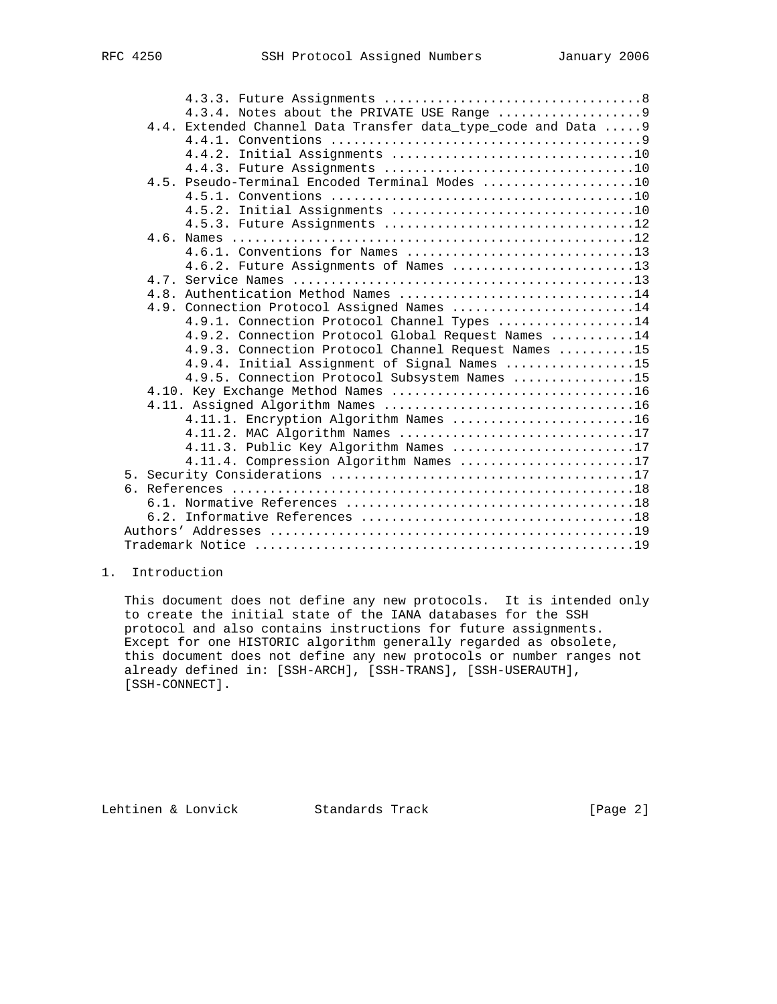|  | 4.4. Extended Channel Data Transfer data_type_code and Data  9 |  |
|--|----------------------------------------------------------------|--|
|  |                                                                |  |
|  |                                                                |  |
|  |                                                                |  |
|  | 4.5. Pseudo-Terminal Encoded Terminal Modes 10                 |  |
|  |                                                                |  |
|  |                                                                |  |
|  | 4.5.3. Future Assignments 12                                   |  |
|  |                                                                |  |
|  | 4.6.1. Conventions for Names 13                                |  |
|  | 4.6.2. Future Assignments of Names 13                          |  |
|  |                                                                |  |
|  | 4.8. Authentication Method Names 14                            |  |
|  | 4.9. Connection Protocol Assigned Names 14                     |  |
|  | 4.9.1. Connection Protocol Channel Types 14                    |  |
|  | 4.9.2. Connection Protocol Global Request Names 14             |  |
|  | 4.9.3. Connection Protocol Channel Request Names 15            |  |
|  | 4.9.4. Initial Assignment of Signal Names 15                   |  |
|  | 4.9.5. Connection Protocol Subsystem Names 15                  |  |
|  |                                                                |  |
|  | 4.11.1. Encryption Algorithm Names 16                          |  |
|  | 4.11.2. MAC Algorithm Names 17                                 |  |
|  | 4.11.3. Public Key Algorithm Names 17                          |  |
|  | 4.11.4. Compression Algorithm Names 17                         |  |
|  |                                                                |  |
|  |                                                                |  |
|  |                                                                |  |
|  |                                                                |  |
|  |                                                                |  |
|  |                                                                |  |
|  |                                                                |  |

# 1. Introduction

 This document does not define any new protocols. It is intended only to create the initial state of the IANA databases for the SSH protocol and also contains instructions for future assignments. Except for one HISTORIC algorithm generally regarded as obsolete, this document does not define any new protocols or number ranges not already defined in: [SSH-ARCH], [SSH-TRANS], [SSH-USERAUTH], [SSH-CONNECT].

Lehtinen & Lonvick Standards Track [Page 2]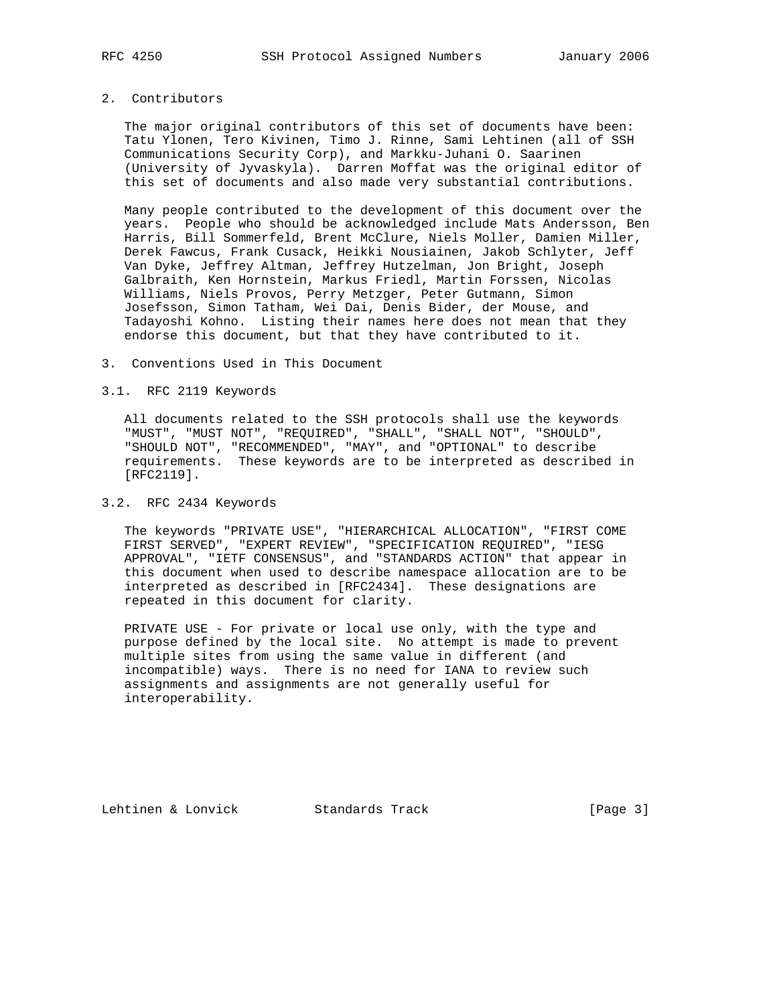# 2. Contributors

 The major original contributors of this set of documents have been: Tatu Ylonen, Tero Kivinen, Timo J. Rinne, Sami Lehtinen (all of SSH Communications Security Corp), and Markku-Juhani O. Saarinen (University of Jyvaskyla). Darren Moffat was the original editor of this set of documents and also made very substantial contributions.

 Many people contributed to the development of this document over the years. People who should be acknowledged include Mats Andersson, Ben Harris, Bill Sommerfeld, Brent McClure, Niels Moller, Damien Miller, Derek Fawcus, Frank Cusack, Heikki Nousiainen, Jakob Schlyter, Jeff Van Dyke, Jeffrey Altman, Jeffrey Hutzelman, Jon Bright, Joseph Galbraith, Ken Hornstein, Markus Friedl, Martin Forssen, Nicolas Williams, Niels Provos, Perry Metzger, Peter Gutmann, Simon Josefsson, Simon Tatham, Wei Dai, Denis Bider, der Mouse, and Tadayoshi Kohno. Listing their names here does not mean that they endorse this document, but that they have contributed to it.

3. Conventions Used in This Document

### 3.1. RFC 2119 Keywords

 All documents related to the SSH protocols shall use the keywords "MUST", "MUST NOT", "REQUIRED", "SHALL", "SHALL NOT", "SHOULD", "SHOULD NOT", "RECOMMENDED", "MAY", and "OPTIONAL" to describe requirements. These keywords are to be interpreted as described in [RFC2119].

# 3.2. RFC 2434 Keywords

 The keywords "PRIVATE USE", "HIERARCHICAL ALLOCATION", "FIRST COME FIRST SERVED", "EXPERT REVIEW", "SPECIFICATION REQUIRED", "IESG APPROVAL", "IETF CONSENSUS", and "STANDARDS ACTION" that appear in this document when used to describe namespace allocation are to be interpreted as described in [RFC2434]. These designations are repeated in this document for clarity.

 PRIVATE USE - For private or local use only, with the type and purpose defined by the local site. No attempt is made to prevent multiple sites from using the same value in different (and incompatible) ways. There is no need for IANA to review such assignments and assignments are not generally useful for interoperability.

Lehtinen & Lonvick Standards Track [Page 3]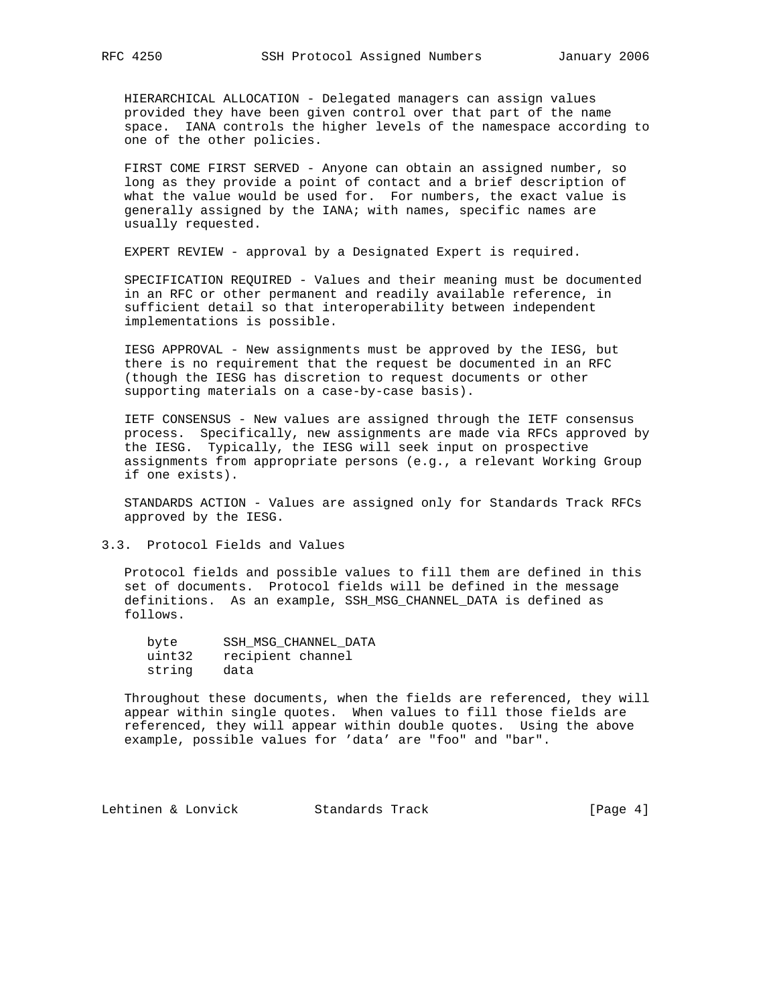HIERARCHICAL ALLOCATION - Delegated managers can assign values provided they have been given control over that part of the name space. IANA controls the higher levels of the namespace according to one of the other policies.

 FIRST COME FIRST SERVED - Anyone can obtain an assigned number, so long as they provide a point of contact and a brief description of what the value would be used for. For numbers, the exact value is generally assigned by the IANA; with names, specific names are usually requested.

EXPERT REVIEW - approval by a Designated Expert is required.

 SPECIFICATION REQUIRED - Values and their meaning must be documented in an RFC or other permanent and readily available reference, in sufficient detail so that interoperability between independent implementations is possible.

 IESG APPROVAL - New assignments must be approved by the IESG, but there is no requirement that the request be documented in an RFC (though the IESG has discretion to request documents or other supporting materials on a case-by-case basis).

 IETF CONSENSUS - New values are assigned through the IETF consensus process. Specifically, new assignments are made via RFCs approved by the IESG. Typically, the IESG will seek input on prospective assignments from appropriate persons (e.g., a relevant Working Group if one exists).

 STANDARDS ACTION - Values are assigned only for Standards Track RFCs approved by the IESG.

3.3. Protocol Fields and Values

 Protocol fields and possible values to fill them are defined in this set of documents. Protocol fields will be defined in the message definitions. As an example, SSH\_MSG\_CHANNEL\_DATA is defined as follows.

| byte   | SSH MSG CHANNEL DATA |
|--------|----------------------|
| uint32 | recipient channel    |
| string | data                 |

 Throughout these documents, when the fields are referenced, they will appear within single quotes. When values to fill those fields are referenced, they will appear within double quotes. Using the above example, possible values for 'data' are "foo" and "bar".

Lehtinen & Lonvick Standards Track [Page 4]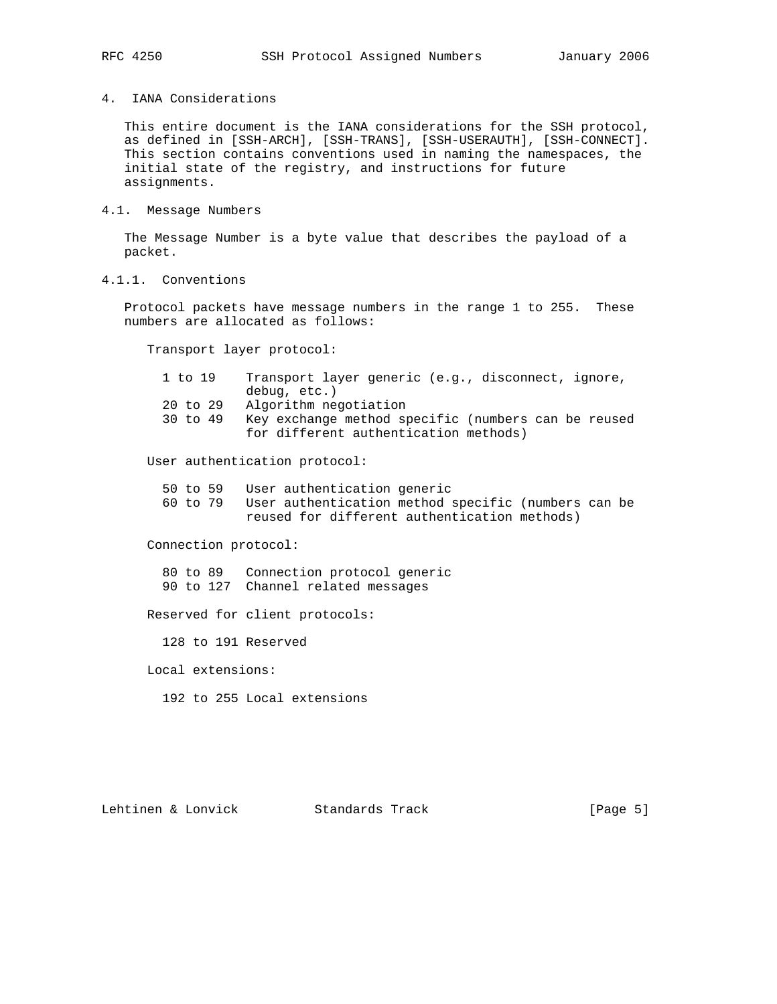4. IANA Considerations

 This entire document is the IANA considerations for the SSH protocol, as defined in [SSH-ARCH], [SSH-TRANS], [SSH-USERAUTH], [SSH-CONNECT]. This section contains conventions used in naming the namespaces, the initial state of the registry, and instructions for future assignments.

4.1. Message Numbers

 The Message Number is a byte value that describes the payload of a packet.

4.1.1. Conventions

 Protocol packets have message numbers in the range 1 to 255. These numbers are allocated as follows:

Transport layer protocol:

| 1 to 19  | Transport layer generic (e.g., disconnect, ignore,  |
|----------|-----------------------------------------------------|
|          | debug, etc.)                                        |
| 20 to 29 | Algorithm negotiation                               |
| 30 to 49 | Key exchange method specific (numbers can be reused |
|          | for different authentication methods)               |

User authentication protocol:

- 50 to 59 User authentication generic
- 60 to 79 User authentication method specific (numbers can be reused for different authentication methods)

Connection protocol:

 80 to 89 Connection protocol generic 90 to 127 Channel related messages

Reserved for client protocols:

128 to 191 Reserved

Local extensions:

192 to 255 Local extensions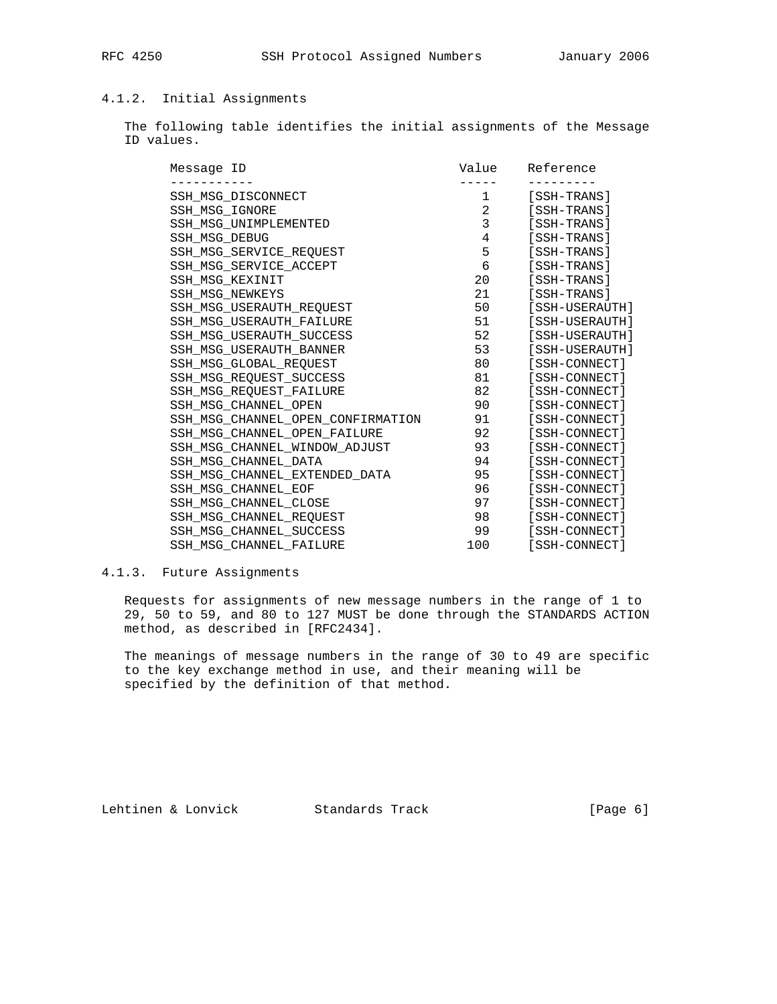# 4.1.2. Initial Assignments

 The following table identifies the initial assignments of the Message ID values.

| Message ID                        | Value          | Reference      |
|-----------------------------------|----------------|----------------|
|                                   |                |                |
| SSH MSG DISCONNECT                | 1              | [SSH-TRANS]    |
| SSH_MSG_IGNORE                    | $\overline{a}$ | [SSH-TRANS]    |
| SSH MSG UNIMPLEMENTED             | 3              | [SSH-TRANS]    |
| SSH MSG DEBUG                     | $\overline{4}$ | [SSH-TRANS]    |
| SSH MSG SERVICE REOUEST           | 5              | [SSH-TRANS]    |
| SSH MSG SERVICE ACCEPT            | 6              | [SSH-TRANS]    |
| SSH MSG KEXINIT                   | 20             | [SSH-TRANS]    |
| <b>SSH MSG NEWKEYS</b>            | 21             | [SSH-TRANS]    |
| SSH_MSG_USERAUTH_REQUEST          | 50             | [SSH-USERAUTH] |
| SSH MSG USERAUTH FAILURE          | 51             | [SSH-USERAUTH] |
| SSH MSG USERAUTH SUCCESS          | 52             | [SSH-USERAUTH] |
| SSH MSG USERAUTH BANNER           | 53             | [SSH-USERAUTH] |
| SSH MSG GLOBAL REQUEST            | 80             | [SSH-CONNECT]  |
| SSH MSG REOUEST SUCCESS           | 81             | [SSH-CONNECT]  |
| SSH MSG REQUEST FAILURE           | 82             | [SSH-CONNECT]  |
| SSH MSG CHANNEL OPEN              | 90             | [SSH-CONNECT]  |
| SSH_MSG_CHANNEL_OPEN_CONFIRMATION | 91             | [SSH-CONNECT]  |
| SSH MSG CHANNEL OPEN FAILURE      | 92             | [SSH-CONNECT]  |
| SSH MSG CHANNEL WINDOW ADJUST     | 93             | [SSH-CONNECT]  |
| SSH MSG CHANNEL DATA              | 94             | [SSH-CONNECT]  |
| SSH_MSG_CHANNEL_EXTENDED_DATA     | 95             | [SSH-CONNECT]  |
| SSH MSG CHANNEL EOF               | 96             | [SSH-CONNECT]  |
| SSH MSG CHANNEL CLOSE             | 97             | [SSH-CONNECT]  |
| SSH MSG CHANNEL REOUEST           | 98             | [SSH-CONNECT]  |
| SSH MSG CHANNEL SUCCESS           | 99             | [SSH-CONNECT]  |
| SSH MSG CHANNEL FAILURE           | 100            | [SSH-CONNECT]  |

# 4.1.3. Future Assignments

 Requests for assignments of new message numbers in the range of 1 to 29, 50 to 59, and 80 to 127 MUST be done through the STANDARDS ACTION method, as described in [RFC2434].

 The meanings of message numbers in the range of 30 to 49 are specific to the key exchange method in use, and their meaning will be specified by the definition of that method.

Lehtinen & Lonvick Standards Track [Page 6]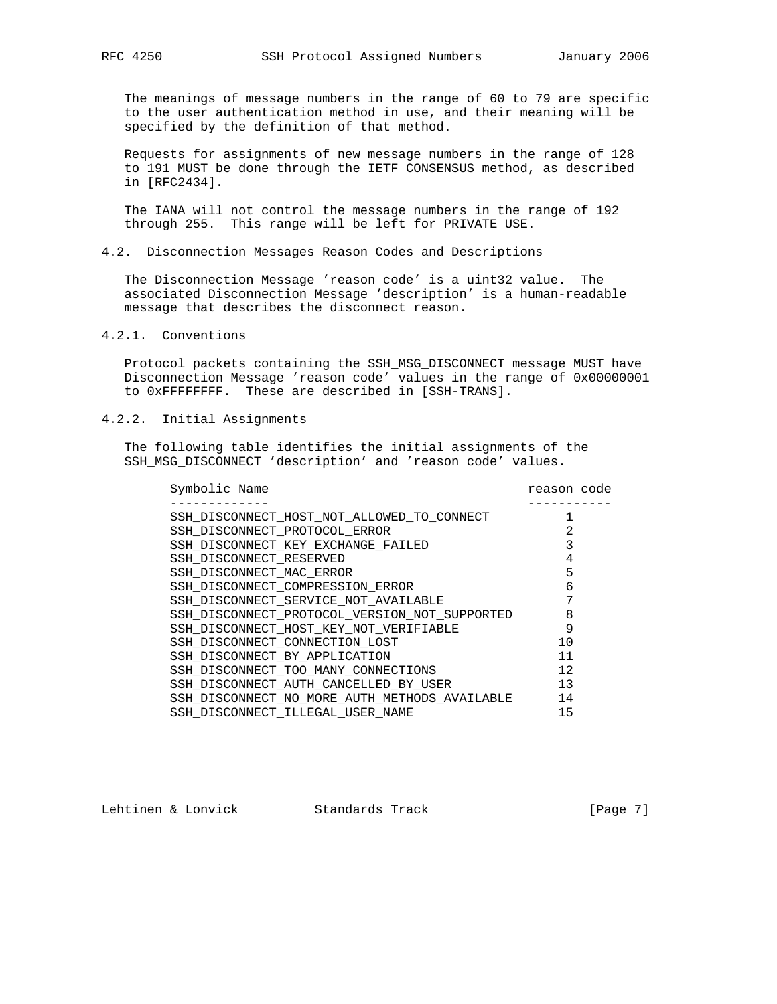The meanings of message numbers in the range of 60 to 79 are specific to the user authentication method in use, and their meaning will be specified by the definition of that method.

 Requests for assignments of new message numbers in the range of 128 to 191 MUST be done through the IETF CONSENSUS method, as described in [RFC2434].

 The IANA will not control the message numbers in the range of 192 through 255. This range will be left for PRIVATE USE.

# 4.2. Disconnection Messages Reason Codes and Descriptions

 The Disconnection Message 'reason code' is a uint32 value. The associated Disconnection Message 'description' is a human-readable message that describes the disconnect reason.

# 4.2.1. Conventions

 Protocol packets containing the SSH\_MSG\_DISCONNECT message MUST have Disconnection Message 'reason code' values in the range of 0x00000001 to 0xFFFFFFFF. These are described in [SSH-TRANS].

### 4.2.2. Initial Assignments

 The following table identifies the initial assignments of the SSH\_MSG\_DISCONNECT 'description' and 'reason code' values.

| Symbolic Name                                 | reason code |  |
|-----------------------------------------------|-------------|--|
|                                               |             |  |
| SSH_DISCONNECT_HOST_NOT_ALLOWED_TO_CONNECT    |             |  |
| SSH DISCONNECT PROTOCOL ERROR                 | 2           |  |
| SSH_DISCONNECT_KEY_EXCHANGE_FAILED            |             |  |
| SSH DISCONNECT RESERVED                       | 4           |  |
| SSH_DISCONNECT_MAC_ERROR                      | 5           |  |
| SSH DISCONNECT COMPRESSION ERROR              | 6           |  |
| SSH DISCONNECT SERVICE NOT AVAILABLE          |             |  |
| SSH DISCONNECT PROTOCOL VERSION NOT SUPPORTED | 8           |  |
| SSH_DISCONNECT_HOST_KEY_NOT_VERIFIABLE        | 9           |  |
| SSH DISCONNECT CONNECTION LOST                | 10          |  |
| SSH DISCONNECT BY APPLICATION                 | 11          |  |
| SSH DISCONNECT TOO MANY CONNECTIONS           | 12          |  |
| SSH DISCONNECT AUTH CANCELLED BY USER         | 13          |  |
| SSH DISCONNECT NO MORE AUTH METHODS AVAILABLE | 14          |  |
| SSH DISCONNECT ILLEGAL USER NAME              | 15          |  |

Lehtinen & Lonvick Standards Track [Page 7]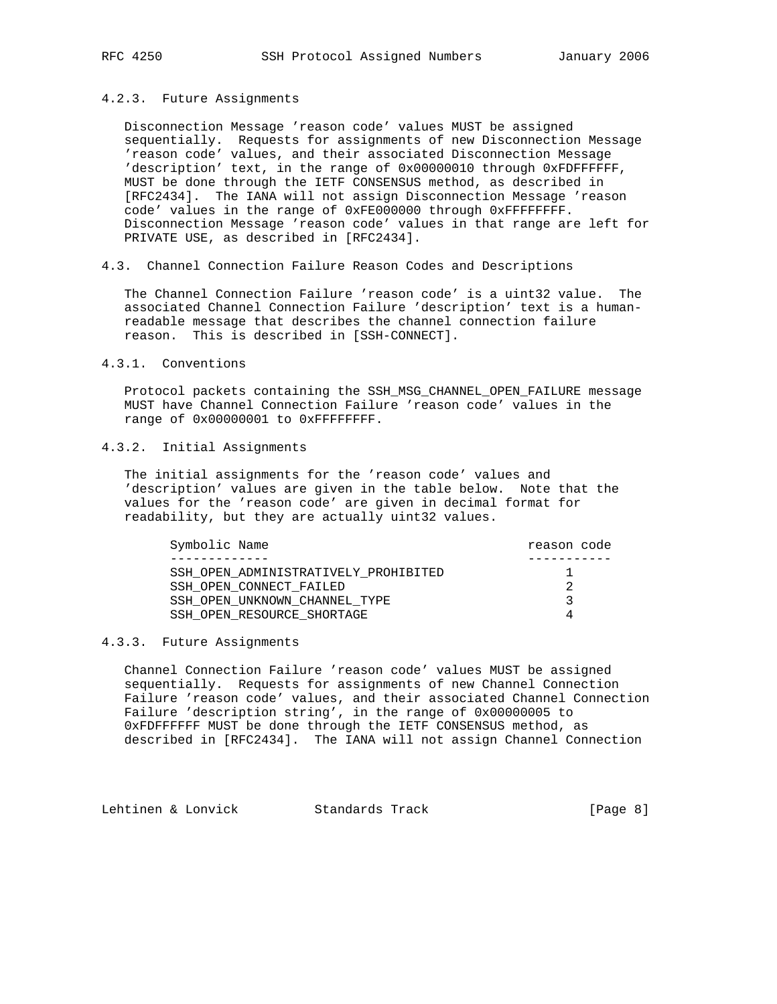#### 4.2.3. Future Assignments

 Disconnection Message 'reason code' values MUST be assigned sequentially. Requests for assignments of new Disconnection Message 'reason code' values, and their associated Disconnection Message 'description' text, in the range of 0x00000010 through 0xFDFFFFFF, MUST be done through the IETF CONSENSUS method, as described in [RFC2434]. The IANA will not assign Disconnection Message 'reason code' values in the range of 0xFE000000 through 0xFFFFFFFF. Disconnection Message 'reason code' values in that range are left for PRIVATE USE, as described in [RFC2434].

4.3. Channel Connection Failure Reason Codes and Descriptions

 The Channel Connection Failure 'reason code' is a uint32 value. The associated Channel Connection Failure 'description' text is a human readable message that describes the channel connection failure reason. This is described in [SSH-CONNECT].

#### 4.3.1. Conventions

 Protocol packets containing the SSH\_MSG\_CHANNEL\_OPEN\_FAILURE message MUST have Channel Connection Failure 'reason code' values in the range of 0x00000001 to 0xFFFFFFFF.

# 4.3.2. Initial Assignments

 The initial assignments for the 'reason code' values and 'description' values are given in the table below. Note that the values for the 'reason code' are given in decimal format for readability, but they are actually uint32 values.

| Symbolic Name                        | reason code |
|--------------------------------------|-------------|
|                                      |             |
| SSH OPEN ADMINISTRATIVELY PROHIBITED |             |
| SSH OPEN CONNECT FAILED              |             |
| SSH OPEN UNKNOWN CHANNEL TYPE        | ર           |
| SSH OPEN RESOURCE SHORTAGE           |             |

### 4.3.3. Future Assignments

 Channel Connection Failure 'reason code' values MUST be assigned sequentially. Requests for assignments of new Channel Connection Failure 'reason code' values, and their associated Channel Connection Failure 'description string', in the range of 0x00000005 to 0xFDFFFFFF MUST be done through the IETF CONSENSUS method, as described in [RFC2434]. The IANA will not assign Channel Connection

Lehtinen & Lonvick Standards Track [Page 8]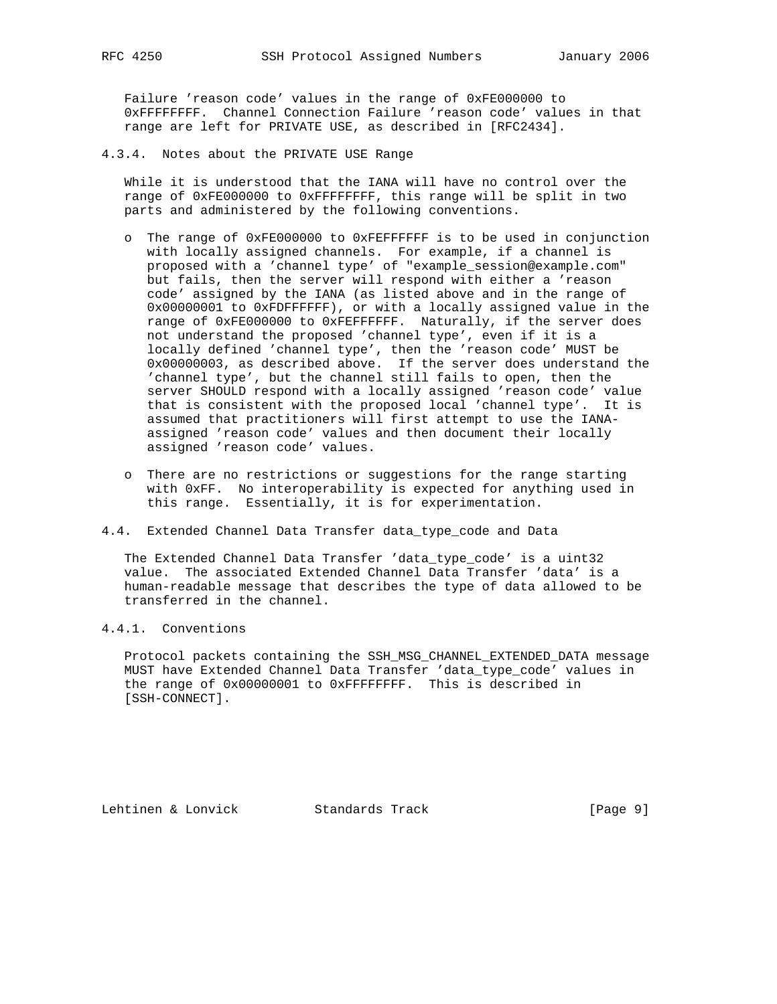Failure 'reason code' values in the range of 0xFE000000 to 0xFFFFFFFF. Channel Connection Failure 'reason code' values in that range are left for PRIVATE USE, as described in [RFC2434].

4.3.4. Notes about the PRIVATE USE Range

 While it is understood that the IANA will have no control over the range of 0xFE000000 to 0xFFFFFFFF, this range will be split in two parts and administered by the following conventions.

- o The range of 0xFE000000 to 0xFEFFFFFF is to be used in conjunction with locally assigned channels. For example, if a channel is proposed with a 'channel type' of "example\_session@example.com" but fails, then the server will respond with either a 'reason code' assigned by the IANA (as listed above and in the range of 0x00000001 to 0xFDFFFFFF), or with a locally assigned value in the range of 0xFE000000 to 0xFEFFFFFF. Naturally, if the server does not understand the proposed 'channel type', even if it is a locally defined 'channel type', then the 'reason code' MUST be 0x00000003, as described above. If the server does understand the 'channel type', but the channel still fails to open, then the server SHOULD respond with a locally assigned 'reason code' value that is consistent with the proposed local 'channel type'. It is assumed that practitioners will first attempt to use the IANA assigned 'reason code' values and then document their locally assigned 'reason code' values.
- o There are no restrictions or suggestions for the range starting with 0xFF. No interoperability is expected for anything used in this range. Essentially, it is for experimentation.
- 4.4. Extended Channel Data Transfer data\_type\_code and Data

 The Extended Channel Data Transfer 'data\_type\_code' is a uint32 value. The associated Extended Channel Data Transfer 'data' is a human-readable message that describes the type of data allowed to be transferred in the channel.

# 4.4.1. Conventions

 Protocol packets containing the SSH\_MSG\_CHANNEL\_EXTENDED\_DATA message MUST have Extended Channel Data Transfer 'data\_type\_code' values in the range of 0x00000001 to 0xFFFFFFFF. This is described in [SSH-CONNECT].

Lehtinen & Lonvick Standards Track [Page 9]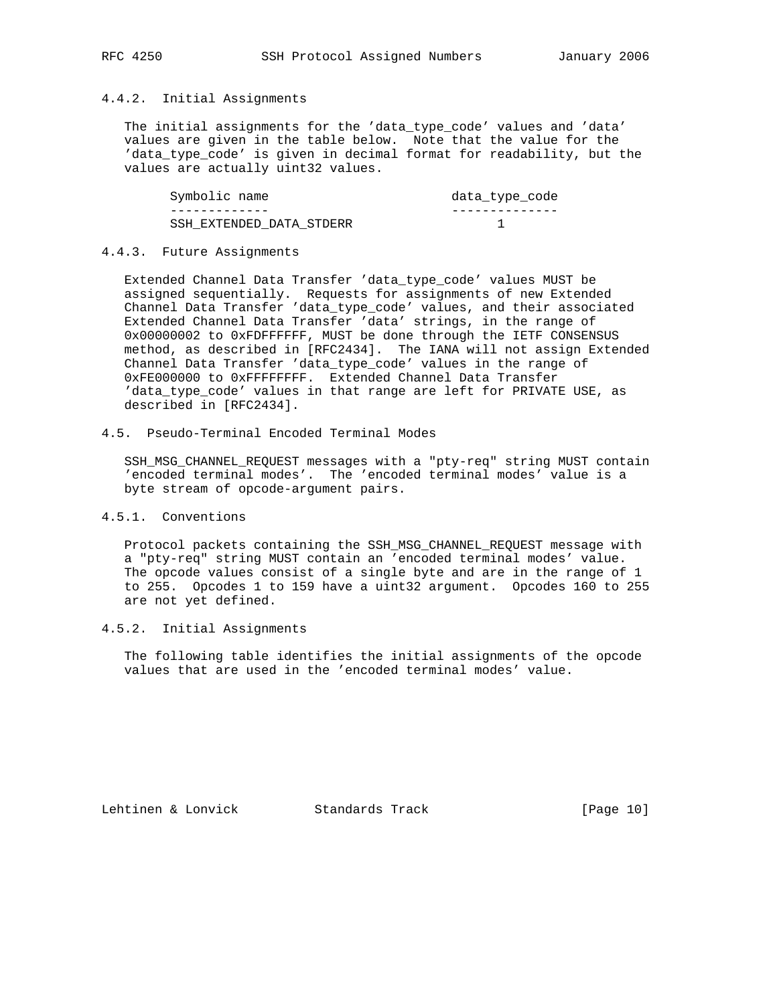# 4.4.2. Initial Assignments

 The initial assignments for the 'data\_type\_code' values and 'data' values are given in the table below. Note that the value for the 'data\_type\_code' is given in decimal format for readability, but the values are actually uint32 values.

| Symbolic name            | data_type_code |
|--------------------------|----------------|
|                          |                |
| SSH EXTENDED DATA STDERR |                |

#### 4.4.3. Future Assignments

 Extended Channel Data Transfer 'data\_type\_code' values MUST be assigned sequentially. Requests for assignments of new Extended Channel Data Transfer 'data\_type\_code' values, and their associated Extended Channel Data Transfer 'data' strings, in the range of 0x00000002 to 0xFDFFFFFF, MUST be done through the IETF CONSENSUS method, as described in [RFC2434]. The IANA will not assign Extended Channel Data Transfer 'data\_type\_code' values in the range of 0xFE000000 to 0xFFFFFFFF. Extended Channel Data Transfer 'data\_type\_code' values in that range are left for PRIVATE USE, as described in [RFC2434].

# 4.5. Pseudo-Terminal Encoded Terminal Modes

SSH\_MSG\_CHANNEL\_REQUEST\_messages with a "pty-req" string MUST contain 'encoded terminal modes'. The 'encoded terminal modes' value is a byte stream of opcode-argument pairs.

### 4.5.1. Conventions

 Protocol packets containing the SSH\_MSG\_CHANNEL\_REQUEST message with a "pty-req" string MUST contain an 'encoded terminal modes' value. The opcode values consist of a single byte and are in the range of 1 to 255. Opcodes 1 to 159 have a uint32 argument. Opcodes 160 to 255 are not yet defined.

# 4.5.2. Initial Assignments

 The following table identifies the initial assignments of the opcode values that are used in the 'encoded terminal modes' value.

Lehtinen & Lonvick Standards Track [Page 10]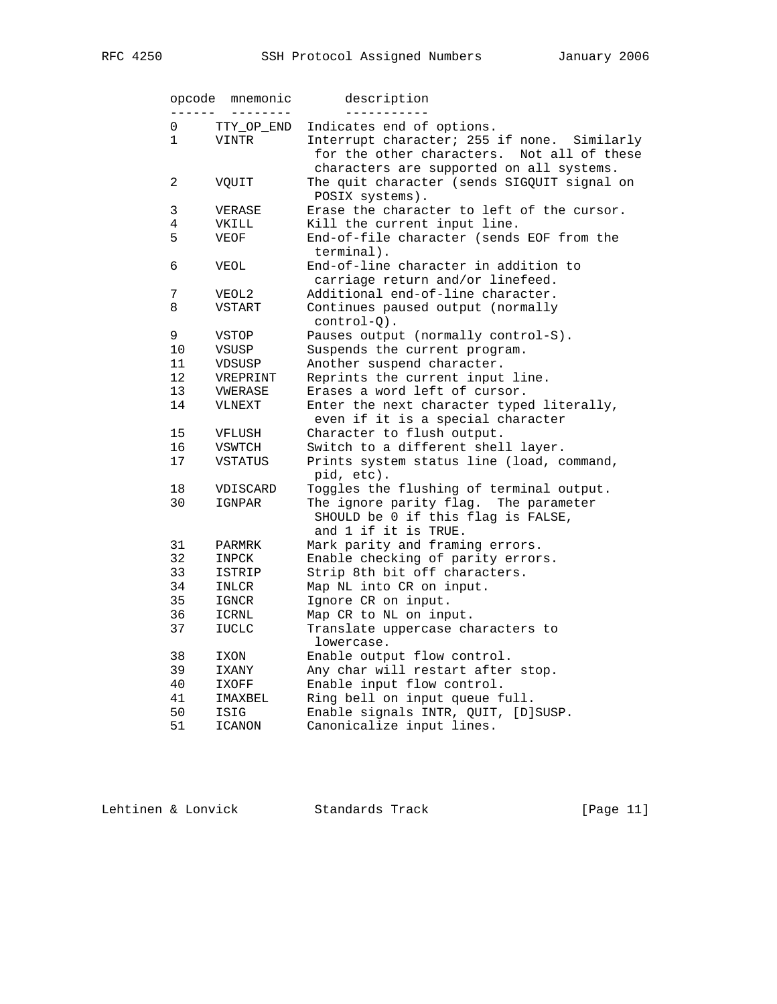| <b>RFC</b> | 4250 |  |
|------------|------|--|
|            |      |  |

| opcode       | mnemonic       | description                                                                                                                              |
|--------------|----------------|------------------------------------------------------------------------------------------------------------------------------------------|
| 0            | TTY_OP_END     | Indicates end of options.                                                                                                                |
| $\mathbf{1}$ | <b>VINTR</b>   | Interrupt character; 255 if none. Similarly<br>for the other characters.<br>Not all of these<br>characters are supported on all systems. |
| 2            | VQUIT          | The quit character (sends SIGQUIT signal on<br>POSIX systems).                                                                           |
| 3            | VERASE         | Erase the character to left of the cursor.                                                                                               |
| 4            | VKILL          | Kill the current input line.                                                                                                             |
| 5            | VEOF           | End-of-file character (sends EOF from the<br>terminal).                                                                                  |
| 6            | <b>VEOL</b>    | End-of-line character in addition to<br>carriage return and/or linefeed.                                                                 |
| 7            | VEOL2          | Additional end-of-line character.                                                                                                        |
| 8            | VSTART         | Continues paused output (normally<br>$control-Q)$ .                                                                                      |
| 9            | VSTOP          | Pauses output (normally control-S).                                                                                                      |
| 10           | VSUSP          | Suspends the current program.                                                                                                            |
| 11           | VDSUSP         | Another suspend character.                                                                                                               |
| 12           | VREPRINT       | Reprints the current input line.                                                                                                         |
| 13           | VWERASE        | Erases a word left of cursor.                                                                                                            |
| 14           | VLNEXT         | Enter the next character typed literally,<br>even if it is a special character                                                           |
| 15           | VFLUSH         | Character to flush output.                                                                                                               |
| 16           | VSWTCH         | Switch to a different shell layer.                                                                                                       |
| 17           | <b>VSTATUS</b> | Prints system status line (load, command,<br>pid, etc).                                                                                  |
| 18           | VDISCARD       | Toggles the flushing of terminal output.                                                                                                 |
| 30           | IGNPAR         | The ignore parity flag.<br>The parameter<br>SHOULD be 0 if this flag is FALSE,<br>and 1 if it is TRUE.                                   |
| 31           | PARMRK         | Mark parity and framing errors.                                                                                                          |
| 32           | INPCK          | Enable checking of parity errors.                                                                                                        |
| 33           | ISTRIP         | Strip 8th bit off characters.                                                                                                            |
| 34           | INLCR          | Map NL into CR on input.                                                                                                                 |
| 35           | IGNCR          | Ignore CR on input.                                                                                                                      |
| 36           | ICRNL          | Map CR to NL on input.                                                                                                                   |
| 37           | <b>IUCLC</b>   | Translate uppercase characters to<br>lowercase.                                                                                          |
| 38           | IXON           | Enable output flow control.                                                                                                              |
| 39           | IXANY          | Any char will restart after stop.                                                                                                        |
| 40           | IXOFF          | Enable input flow control.                                                                                                               |
| 41           | IMAXBEL        | Ring bell on input queue full.                                                                                                           |
| 50           | ISIG           | Enable signals INTR, QUIT, [D]SUSP.                                                                                                      |
| 51           | ICANON         | Canonicalize input lines.                                                                                                                |

Lehtinen & Lonvick Standards Track [Page 11]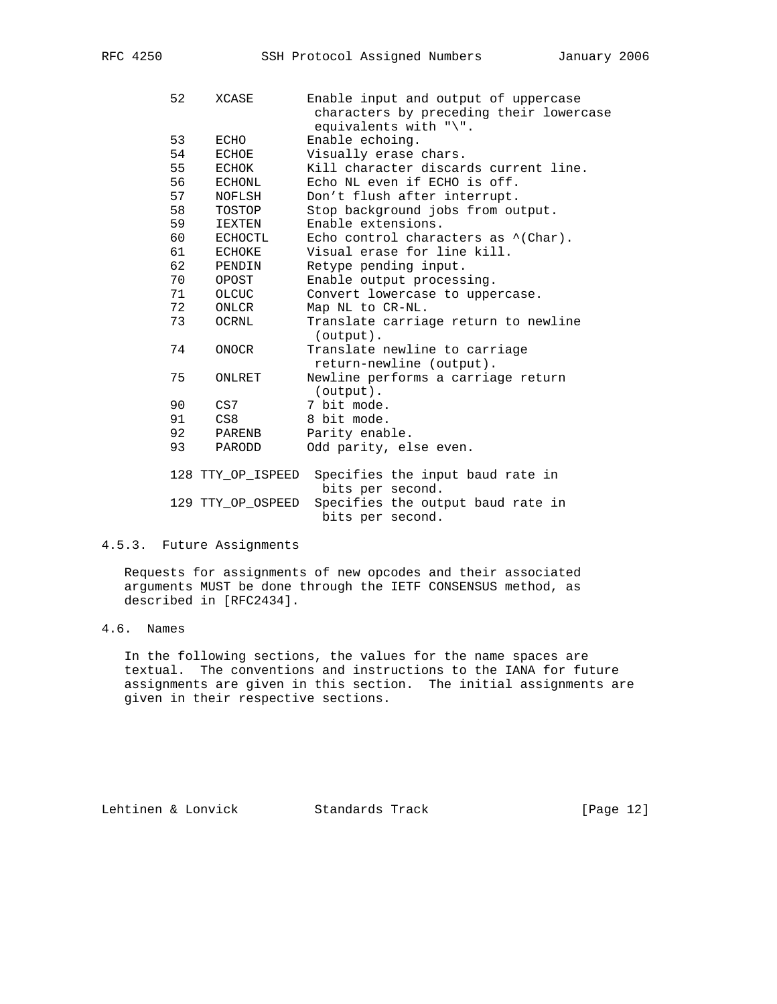| 52 | XCASE             | Enable input and output of uppercase<br>characters by preceding their lowercase<br>equivalents with " $\langle$ ". |
|----|-------------------|--------------------------------------------------------------------------------------------------------------------|
| 53 | ECHO              | Enable echoing.                                                                                                    |
| 54 | ECHOE             | Visually erase chars.                                                                                              |
| 55 | ECHOK             | Kill character discards current line.                                                                              |
| 56 | ECHONL            | Echo NL even if ECHO is off.                                                                                       |
| 57 | NOFLSH            | Don't flush after interrupt.                                                                                       |
| 58 | TOSTOP            | Stop background jobs from output.                                                                                  |
| 59 | IEXTEN            | Enable extensions.                                                                                                 |
| 60 | ECHOCTL           | Echo control characters as $\hat{\ }$ (Char).                                                                      |
| 61 | <b>ECHOKE</b>     | Visual erase for line kill.                                                                                        |
| 62 | PENDIN            | Retype pending input.                                                                                              |
| 70 | OPOST             | Enable output processing.                                                                                          |
| 71 | OLCUC             | Convert lowercase to uppercase.                                                                                    |
| 72 | ONLCR             | Map NL to CR-NL.                                                                                                   |
| 73 | OCRNL             | Translate carriage return to newline                                                                               |
|    |                   | (output).                                                                                                          |
| 74 | ONOCR             | Translate newline to carriage                                                                                      |
|    |                   | return-newline (output).                                                                                           |
| 75 | ONLRET            | Newline performs a carriage return                                                                                 |
|    |                   | (output).                                                                                                          |
| 90 | CS7               | 7 bit mode.                                                                                                        |
| 91 | CS8               | 8 bit mode.                                                                                                        |
| 92 | PARENB            | Parity enable.                                                                                                     |
| 93 | PARODD            | Odd parity, else even.                                                                                             |
|    |                   |                                                                                                                    |
|    | 128 TTY OP ISPEED | Specifies the input baud rate in                                                                                   |
|    |                   | bits per second.                                                                                                   |
|    | 129 TTY_OP_OSPEED | Specifies the output baud rate in                                                                                  |
|    |                   | bits per second.                                                                                                   |

# 4.5.3. Future Assignments

 Requests for assignments of new opcodes and their associated arguments MUST be done through the IETF CONSENSUS method, as described in [RFC2434].

# 4.6. Names

 In the following sections, the values for the name spaces are textual. The conventions and instructions to the IANA for future assignments are given in this section. The initial assignments are given in their respective sections.

Lehtinen & Lonvick Standards Track [Page 12]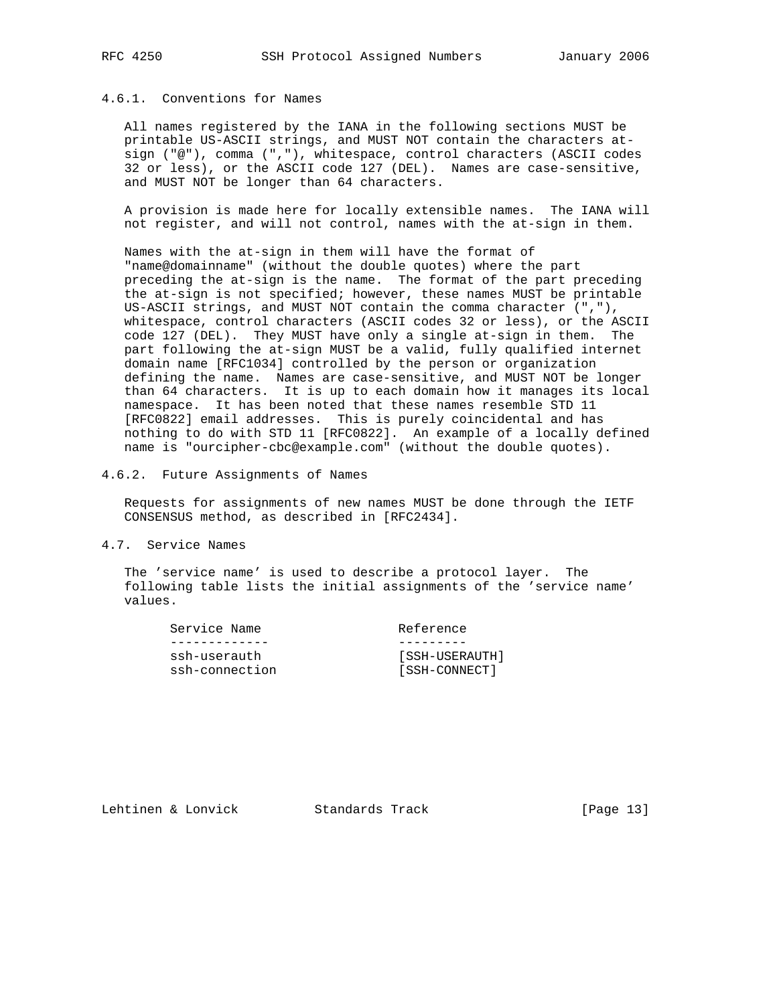# 4.6.1. Conventions for Names

 All names registered by the IANA in the following sections MUST be printable US-ASCII strings, and MUST NOT contain the characters at sign ("@"), comma (","), whitespace, control characters (ASCII codes 32 or less), or the ASCII code 127 (DEL). Names are case-sensitive, and MUST NOT be longer than 64 characters.

 A provision is made here for locally extensible names. The IANA will not register, and will not control, names with the at-sign in them.

 Names with the at-sign in them will have the format of "name@domainname" (without the double quotes) where the part preceding the at-sign is the name. The format of the part preceding the at-sign is not specified; however, these names MUST be printable US-ASCII strings, and MUST NOT contain the comma character (","), whitespace, control characters (ASCII codes 32 or less), or the ASCII code 127 (DEL). They MUST have only a single at-sign in them. The part following the at-sign MUST be a valid, fully qualified internet domain name [RFC1034] controlled by the person or organization defining the name. Names are case-sensitive, and MUST NOT be longer than 64 characters. It is up to each domain how it manages its local namespace. It has been noted that these names resemble STD 11 [RFC0822] email addresses. This is purely coincidental and has nothing to do with STD 11 [RFC0822]. An example of a locally defined name is "ourcipher-cbc@example.com" (without the double quotes).

4.6.2. Future Assignments of Names

 Requests for assignments of new names MUST be done through the IETF CONSENSUS method, as described in [RFC2434].

4.7. Service Names

 The 'service name' is used to describe a protocol layer. The following table lists the initial assignments of the 'service name' values.

| Service Name   | Reference      |
|----------------|----------------|
|                |                |
| ssh-userauth   | [SSH-USERAUTH] |
| ssh-connection | [SSH-CONNECT]  |

Lehtinen & Lonvick Standards Track [Page 13]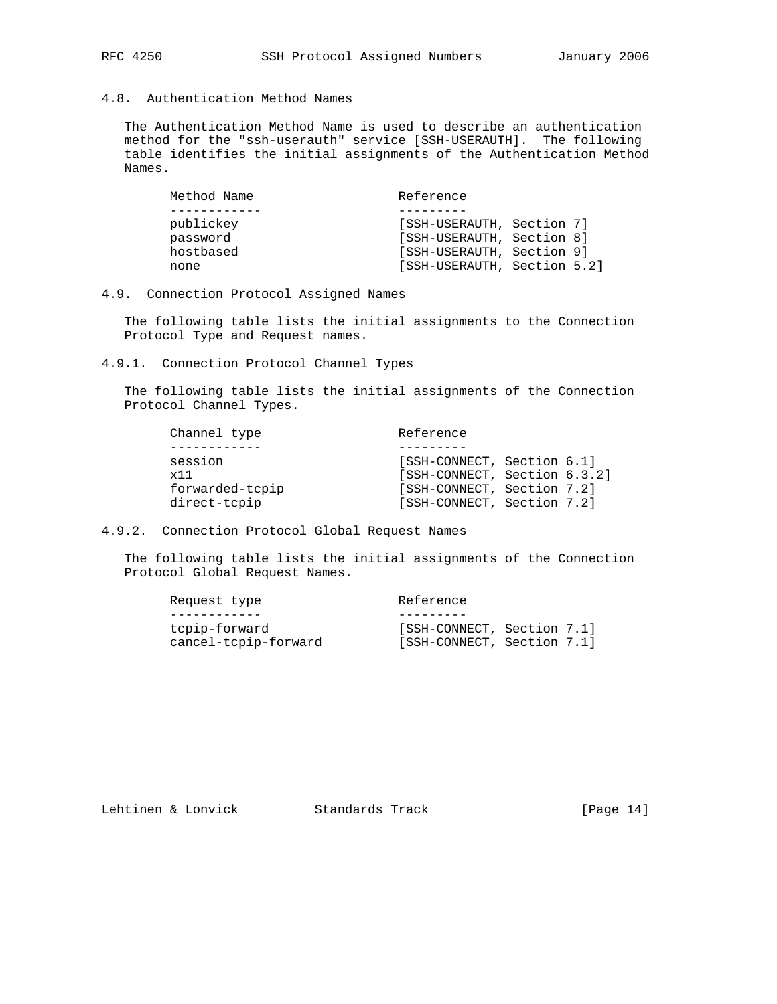# 4.8. Authentication Method Names

 The Authentication Method Name is used to describe an authentication method for the "ssh-userauth" service [SSH-USERAUTH]. The following table identifies the initial assignments of the Authentication Method Names.

| Method Name | Reference                   |  |  |
|-------------|-----------------------------|--|--|
|             |                             |  |  |
| publickey   | [SSH-USERAUTH, Section 7]   |  |  |
| password    | [SSH-USERAUTH, Section 8]   |  |  |
| hostbased   | [SSH-USERAUTH, Section 9]   |  |  |
| none        | [SSH-USERAUTH, Section 5.2] |  |  |
|             |                             |  |  |

# 4.9. Connection Protocol Assigned Names

 The following table lists the initial assignments to the Connection Protocol Type and Request names.

4.9.1. Connection Protocol Channel Types

 The following table lists the initial assignments of the Connection Protocol Channel Types.

| Channel type    | Reference                    |  |
|-----------------|------------------------------|--|
|                 |                              |  |
| session         | [SSH-CONNECT, Section 6.1]   |  |
| x11             | [SSH-CONNECT, Section 6.3.2] |  |
| forwarded-tcpip | [SSH-CONNECT, Section 7.2]   |  |
| direct-tcpip    | [SSH-CONNECT, Section 7.2]   |  |

4.9.2. Connection Protocol Global Request Names

 The following table lists the initial assignments of the Connection Protocol Global Request Names.

| Request type         | Reference                  |
|----------------------|----------------------------|
|                      |                            |
| tcpip-forward        | [SSH-CONNECT, Section 7.1] |
| cancel-tcpip-forward | [SSH-CONNECT, Section 7.1] |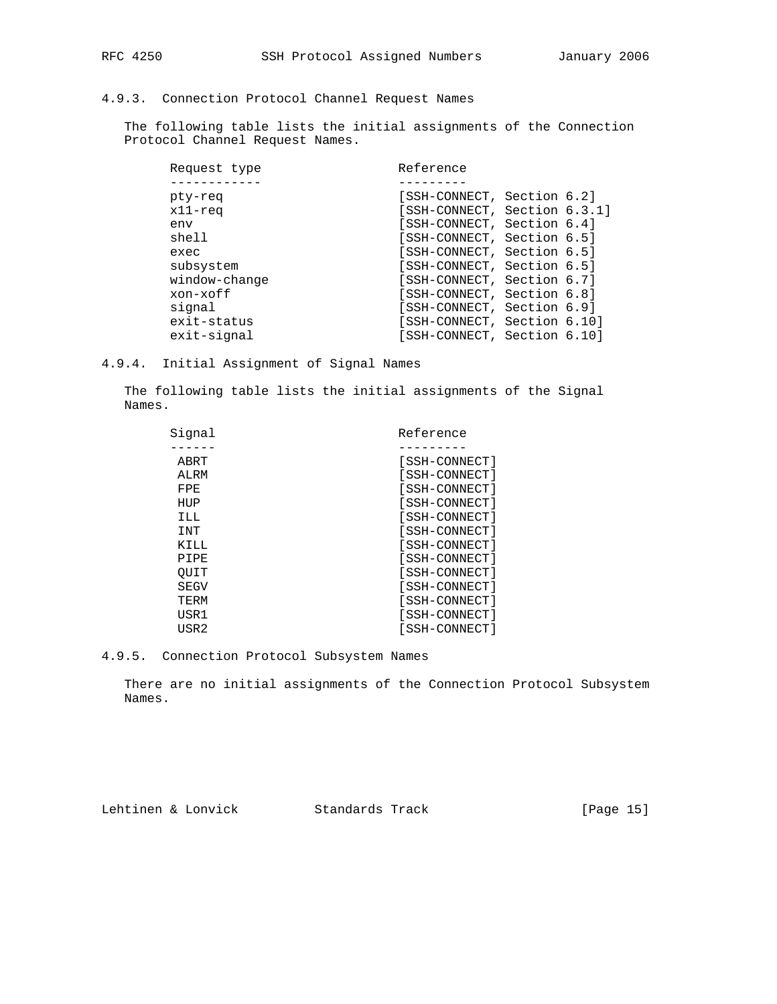# 4.9.3. Connection Protocol Channel Request Names

 The following table lists the initial assignments of the Connection Protocol Channel Request Names.

| Request type  | Reference                    |
|---------------|------------------------------|
|               |                              |
| pty-req       | [SSH-CONNECT, Section 6.2]   |
| $x11 - req$   | [SSH-CONNECT, Section 6.3.1] |
| env           | [SSH-CONNECT, Section 6.4]   |
| shell         | [SSH-CONNECT, Section 6.5]   |
| exec          | [SSH-CONNECT, Section 6.5]   |
| subsystem     | [SSH-CONNECT, Section 6.5]   |
| window-change | [SSH-CONNECT, Section 6.7]   |
| xon-xoff      | [SSH-CONNECT, Section 6.8]   |
| signal        | [SSH-CONNECT, Section 6.9]   |
| exit-status   | [SSH-CONNECT, Section 6.10]  |
| exit-signal   | [SSH-CONNECT, Section 6.10]  |

4.9.4. Initial Assignment of Signal Names

 The following table lists the initial assignments of the Signal Names.

| Signal | Reference     |
|--------|---------------|
|        |               |
| ABRT   | [SSH-CONNECT] |
| ALRM   | [SSH-CONNECT] |
| FPE    | [SSH-CONNECT] |
| HUP    | [SSH-CONNECT] |
| ILL    | [SSH-CONNECT] |
| INT    | [SSH-CONNECT] |
| KILL   | [SSH-CONNECT] |
| PIPE   | [SSH-CONNECT] |
| OUIT   | [SSH-CONNECT] |
| SEGV   | [SSH-CONNECT] |
| TERM   | [SSH-CONNECT] |
| USR1   | [SSH-CONNECT] |
| USR2   | [SSH-CONNECT] |

4.9.5. Connection Protocol Subsystem Names

 There are no initial assignments of the Connection Protocol Subsystem Names.

Lehtinen & Lonvick Standards Track [Page 15]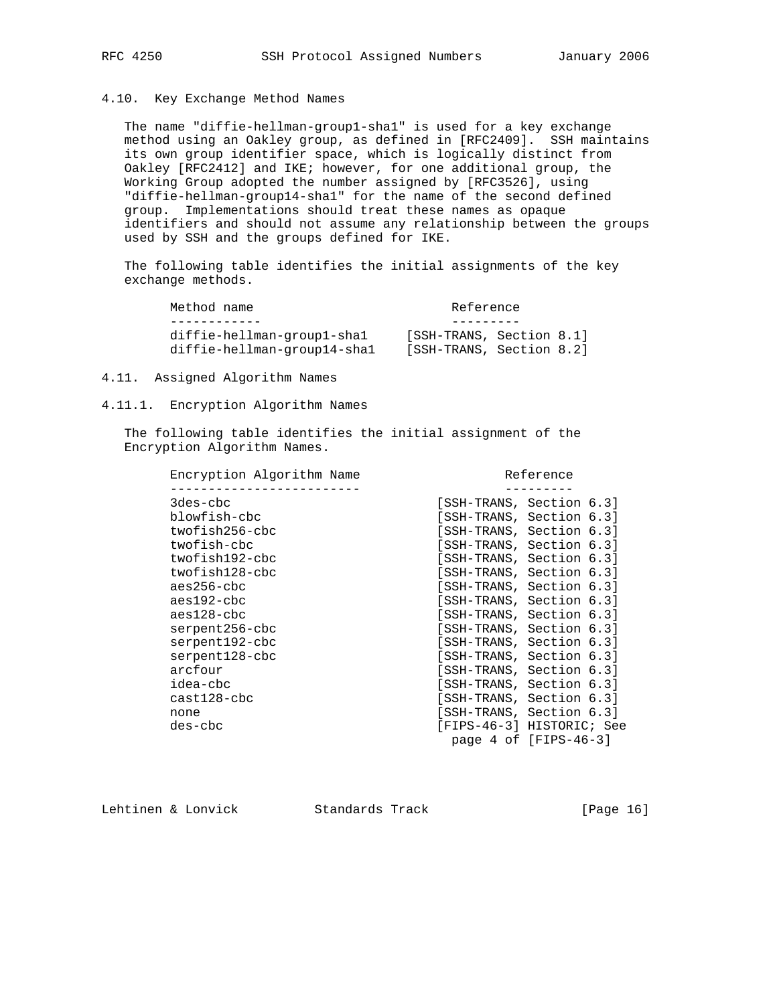# 4.10. Key Exchange Method Names

 The name "diffie-hellman-group1-sha1" is used for a key exchange method using an Oakley group, as defined in [RFC2409]. SSH maintains its own group identifier space, which is logically distinct from Oakley [RFC2412] and IKE; however, for one additional group, the Working Group adopted the number assigned by [RFC3526], using "diffie-hellman-group14-sha1" for the name of the second defined group. Implementations should treat these names as opaque identifiers and should not assume any relationship between the groups used by SSH and the groups defined for IKE.

 The following table identifies the initial assignments of the key exchange methods.

| Method name                                               | Reference                                            |
|-----------------------------------------------------------|------------------------------------------------------|
|                                                           |                                                      |
| diffie-hellman-group1-shal<br>diffie-hellman-group14-shal | [SSH-TRANS, Section 8.1]<br>[SSH-TRANS, Section 8.2] |

### 4.11. Assigned Algorithm Names

#### 4.11.1. Encryption Algorithm Names

 The following table identifies the initial assignment of the Encryption Algorithm Names.

| [SSH-TRANS, Section 6.3]<br>3des-cbc<br>blowfish-cbc<br>[SSH-TRANS, Section 6.3]<br>twofish256-cbc<br>[SSH-TRANS, Section 6.3] |  |
|--------------------------------------------------------------------------------------------------------------------------------|--|
|                                                                                                                                |  |
|                                                                                                                                |  |
|                                                                                                                                |  |
|                                                                                                                                |  |
| twofish-cbc<br>[SSH-TRANS, Section 6.3]                                                                                        |  |
| twofish192-cbc<br>[SSH-TRANS, Section 6.3]                                                                                     |  |
| twofish128-cbc<br>[SSH-TRANS, Section 6.3]                                                                                     |  |
| $aes256$ -c $bc$<br>[SSH-TRANS, Section 6.3]                                                                                   |  |
| [SSH-TRANS, Section 6.3]<br>aes192-cbc                                                                                         |  |
| aes128-cbc<br>[SSH-TRANS, Section 6.3]                                                                                         |  |
| serpent256-cbc<br>[SSH-TRANS, Section 6.3]                                                                                     |  |
| serpent192-cbc<br>[SSH-TRANS, Section 6.3]                                                                                     |  |
| serpent128-cbc<br>[SSH-TRANS, Section 6.3]                                                                                     |  |
| [SSH-TRANS, Section 6.3]<br>arcfour                                                                                            |  |
| idea-cbc<br>[SSH-TRANS, Section 6.3]                                                                                           |  |
| $cast128 - cbc$<br>[SSH-TRANS, Section 6.3]                                                                                    |  |
| [SSH-TRANS, Section 6.3]<br>none                                                                                               |  |
| [FIPS-46-3] HISTORIC; See<br>des-cbc                                                                                           |  |
| page $4$ of [FIPS-46-3]                                                                                                        |  |

Lehtinen & Lonvick Standards Track [Page 16]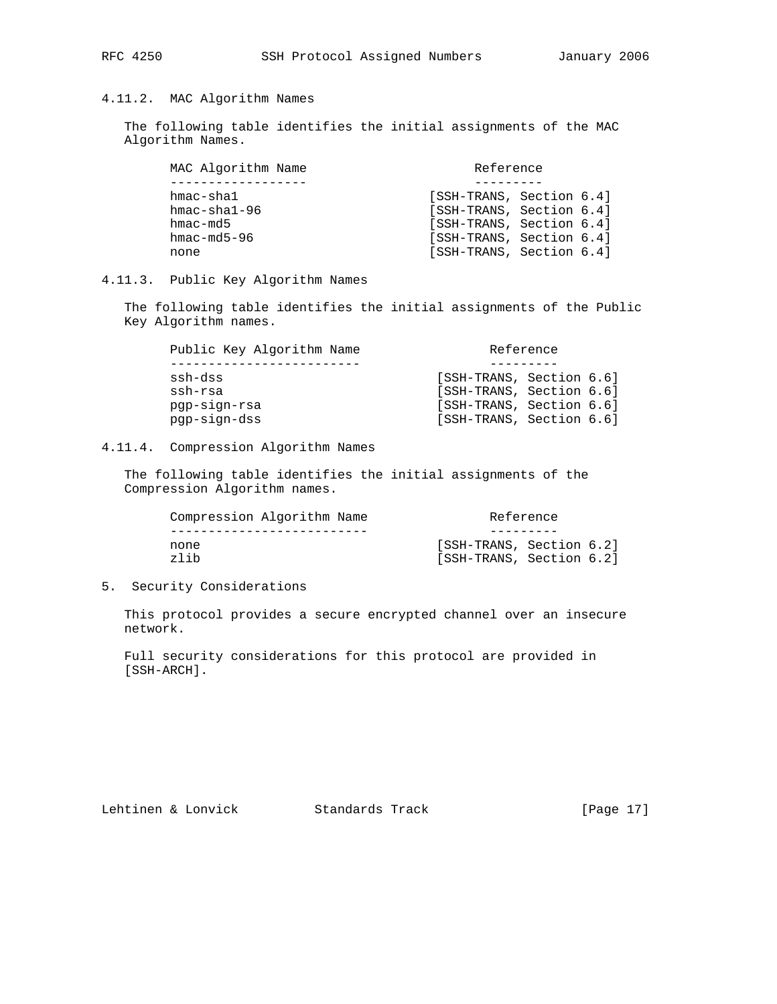# 4.11.2. MAC Algorithm Names

 The following table identifies the initial assignments of the MAC Algorithm Names.

|                     | MAC Algorithm Name | Reference                |  |
|---------------------|--------------------|--------------------------|--|
|                     |                    |                          |  |
| hmac-shal           |                    | [SSH-TRANS, Section 6.4] |  |
| $hmac - sha1 - 96$  |                    | [SSH-TRANS, Section 6.4] |  |
| hmac-md5            |                    | [SSH-TRANS, Section 6.4] |  |
| $hmac$ $-md5$ $-96$ |                    | [SSH-TRANS, Section 6.4] |  |
| none                |                    | [SSH-TRANS, Section 6.4] |  |

# 4.11.3. Public Key Algorithm Names

 The following table identifies the initial assignments of the Public Key Algorithm names.

| Public Key Algorithm Name | Reference                |  |
|---------------------------|--------------------------|--|
|                           |                          |  |
| ssh-dss                   | [SSH-TRANS, Section 6.6] |  |
| ssh-rsa                   | [SSH-TRANS, Section 6.6] |  |
| pgp-sign-rsa              | [SSH-TRANS, Section 6.6] |  |
| pqp-sign-dss              | [SSH-TRANS, Section 6.6] |  |

# 4.11.4. Compression Algorithm Names

 The following table identifies the initial assignments of the Compression Algorithm names.

| Compression Algorithm Name | Reference                |
|----------------------------|--------------------------|
|                            |                          |
| none                       | [SSH-TRANS, Section 6.2] |
| zlih                       | [SSH-TRANS, Section 6.2] |

5. Security Considerations

 This protocol provides a secure encrypted channel over an insecure network.

 Full security considerations for this protocol are provided in [SSH-ARCH].

Lehtinen & Lonvick Standards Track [Page 17]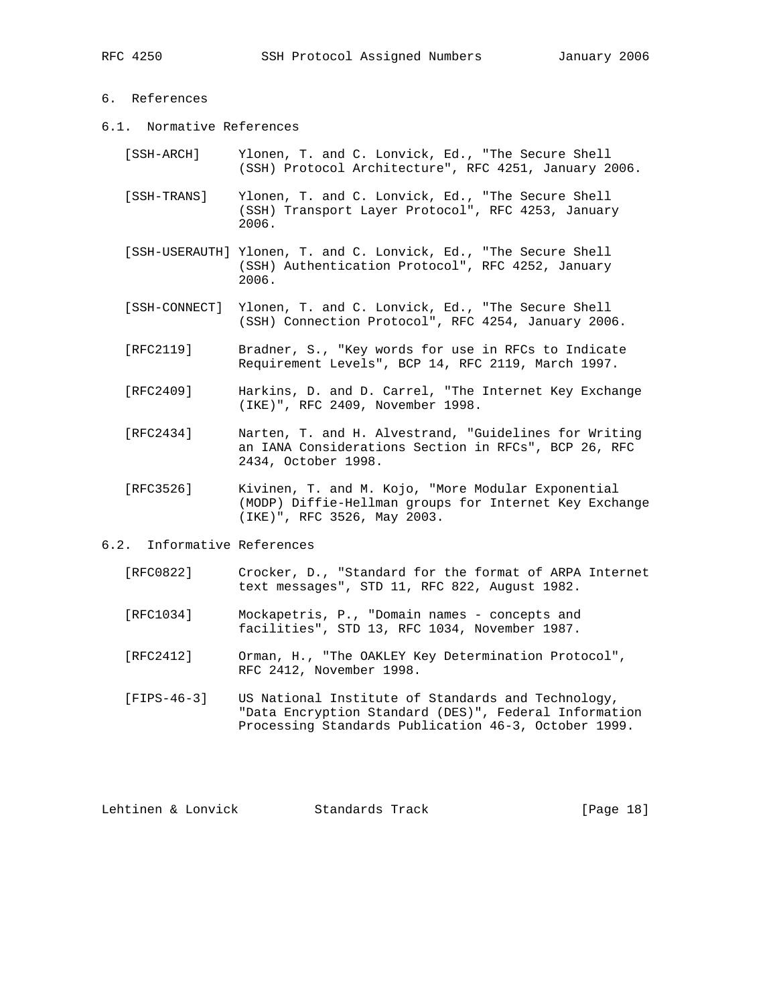# 6. References

- 6.1. Normative References
	- [SSH-ARCH] Ylonen, T. and C. Lonvick, Ed., "The Secure Shell (SSH) Protocol Architecture", RFC 4251, January 2006.
	- [SSH-TRANS] Ylonen, T. and C. Lonvick, Ed., "The Secure Shell (SSH) Transport Layer Protocol", RFC 4253, January 2006.
	- [SSH-USERAUTH] Ylonen, T. and C. Lonvick, Ed., "The Secure Shell (SSH) Authentication Protocol", RFC 4252, January 2006.
	- [SSH-CONNECT] Ylonen, T. and C. Lonvick, Ed., "The Secure Shell (SSH) Connection Protocol", RFC 4254, January 2006.
	- [RFC2119] Bradner, S., "Key words for use in RFCs to Indicate Requirement Levels", BCP 14, RFC 2119, March 1997.
	- [RFC2409] Harkins, D. and D. Carrel, "The Internet Key Exchange (IKE)", RFC 2409, November 1998.
	- [RFC2434] Narten, T. and H. Alvestrand, "Guidelines for Writing an IANA Considerations Section in RFCs", BCP 26, RFC 2434, October 1998.
	- [RFC3526] Kivinen, T. and M. Kojo, "More Modular Exponential (MODP) Diffie-Hellman groups for Internet Key Exchange (IKE)", RFC 3526, May 2003.
- 6.2. Informative References
	- [RFC0822] Crocker, D., "Standard for the format of ARPA Internet text messages", STD 11, RFC 822, August 1982.
	- [RFC1034] Mockapetris, P., "Domain names concepts and facilities", STD 13, RFC 1034, November 1987.
	- [RFC2412] Orman, H., "The OAKLEY Key Determination Protocol", RFC 2412, November 1998.
	- [FIPS-46-3] US National Institute of Standards and Technology, "Data Encryption Standard (DES)", Federal Information Processing Standards Publication 46-3, October 1999.

Lehtinen & Lonvick Standards Track [Page 18]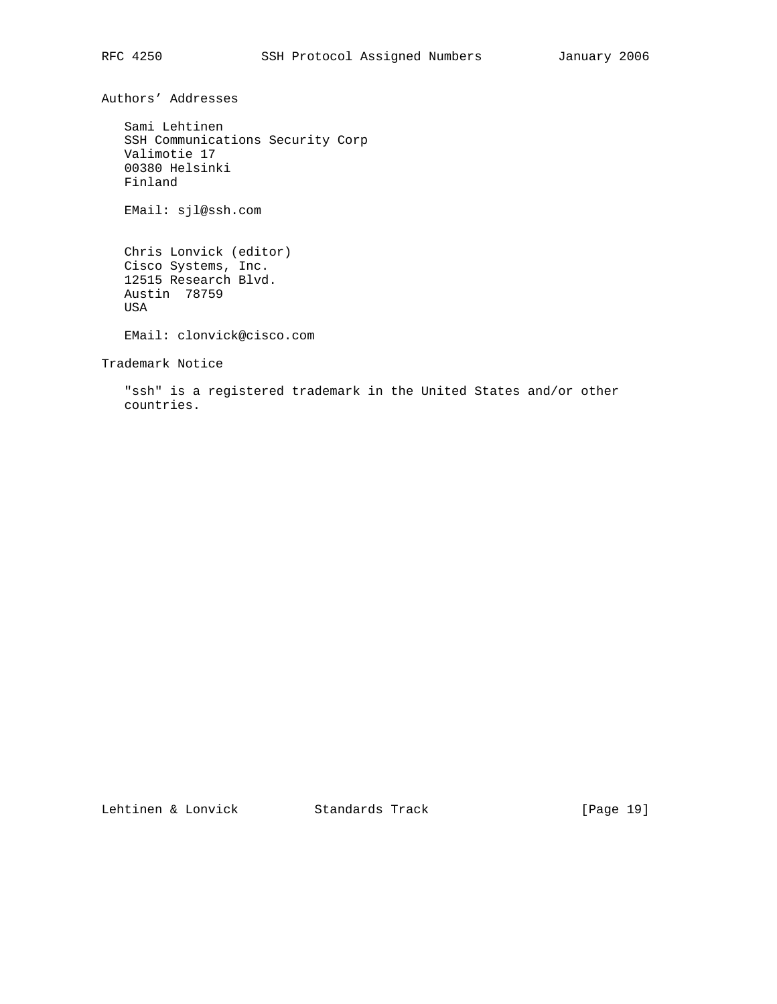Authors' Addresses

 Sami Lehtinen SSH Communications Security Corp Valimotie 17 00380 Helsinki Finland

EMail: sjl@ssh.com

 Chris Lonvick (editor) Cisco Systems, Inc. 12515 Research Blvd. Austin 78759 USA

EMail: clonvick@cisco.com

Trademark Notice

 "ssh" is a registered trademark in the United States and/or other countries.